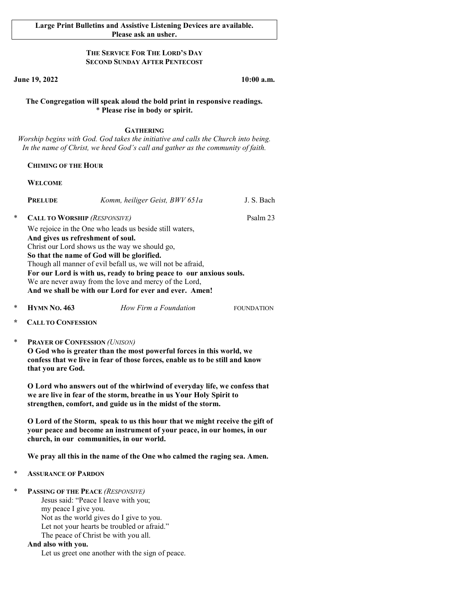### THE SERVICE FOR THE LORD'S DAY SECOND SUNDAY AFTER PENTECOST

June 19, 2022 10:00 a.m.

### The Congregation will speak aloud the bold print in responsive readings. \* Please rise in body or spirit.

## **GATHERING**

Worship begins with God. God takes the initiative and calls the Church into being. In the name of Christ, we heed God's call and gather as the community of faith.

### CHIMING OF THE HOUR

### WELCOME

|   | <b>PRELUDE</b>                                                      | Komm, heiliger Geist, BWV 651a | J. S. Bach |  |  |
|---|---------------------------------------------------------------------|--------------------------------|------------|--|--|
| * | <b>CALL TO WORSHIP (RESPONSIVE)</b>                                 | Psalm 23                       |            |  |  |
|   | We rejoice in the One who leads us beside still waters,             |                                |            |  |  |
|   | And gives us refreshment of soul.                                   |                                |            |  |  |
|   | Christ our Lord shows us the way we should go,                      |                                |            |  |  |
|   | So that the name of God will be glorified.                          |                                |            |  |  |
|   | Though all manner of evil befall us, we will not be afraid,         |                                |            |  |  |
|   | For our Lord is with us, ready to bring peace to our anxious souls. |                                |            |  |  |
|   | We are never away from the love and mercy of the Lord,              |                                |            |  |  |
|   | And we shall be with our Lord for ever and ever. Amen!              |                                |            |  |  |

- **HYMN NO. 463** *How Firm a Foundation* FOUNDATION
- **CALL TO CONFESSION**
- PRAYER OF CONFESSION (UNISON)

O God who is greater than the most powerful forces in this world, we confess that we live in fear of those forces, enable us to be still and know that you are God.

O Lord who answers out of the whirlwind of everyday life, we confess that we are live in fear of the storm, breathe in us Your Holy Spirit to strengthen, comfort, and guide us in the midst of the storm.

O Lord of the Storm, speak to us this hour that we might receive the gift of your peace and become an instrument of your peace, in our homes, in our church, in our communities, in our world.

We pray all this in the name of the One who calmed the raging sea. Amen.

- **ASSURANCE OF PARDON**
- PASSING OF THE PEACE (RESPONSIVE) Jesus said: "Peace I leave with you; my peace I give you. Not as the world gives do I give to you.

Let not your hearts be troubled or afraid."

The peace of Christ be with you all.

### And also with you.

Let us greet one another with the sign of peace.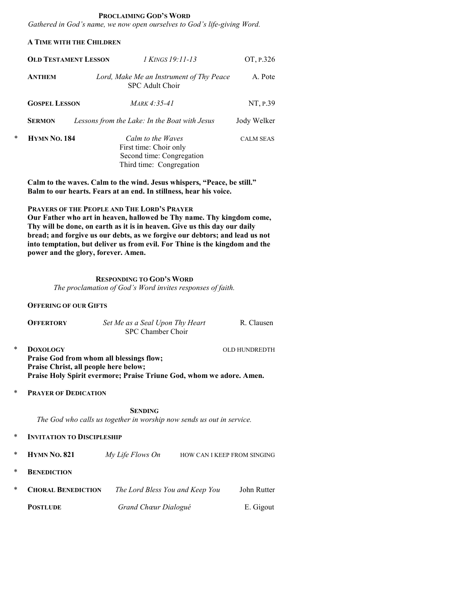#### PROCLAIMING GOD'S WORD

Gathered in God's name, we now open ourselves to God's life-giving Word.

## A TIME WITH THE CHILDREN

|   | <b>OLD TESTAMENT LESSON</b> |  | 1 KINGS 19:11-13                                                                                     | OT, P.326        |
|---|-----------------------------|--|------------------------------------------------------------------------------------------------------|------------------|
|   | <b>ANTHEM</b>               |  | Lord, Make Me an Instrument of Thy Peace<br>SPC Adult Choir                                          | A. Pote          |
|   | <b>GOSPEL LESSON</b>        |  | $MARK 4:35-41$                                                                                       | NT, P.39         |
|   | <b>SERMON</b>               |  | Lessons from the Lake: In the Boat with Jesus                                                        | Jody Welker      |
| * | <b>HYMN NO. 184</b>         |  | Calm to the Waves<br>First time: Choir only<br>Second time: Congregation<br>Third time: Congregation | <b>CALM SEAS</b> |

Calm to the waves. Calm to the wind. Jesus whispers, "Peace, be still." Balm to our hearts. Fears at an end. In stillness, hear his voice.

 PRAYERS OF THE PEOPLE AND THE LORD'S PRAYER Our Father who art in heaven, hallowed be Thy name. Thy kingdom come, Thy will be done, on earth as it is in heaven. Give us this day our daily bread; and forgive us our debts, as we forgive our debtors; and lead us not into temptation, but deliver us from evil. For Thine is the kingdom and the power and the glory, forever. Amen.

## RESPONDING TO GOD'S WORD The proclamation of God's Word invites responses of faith.

### OFFERING OF OUR GIFTS

|   | <b>OFFERTORY</b> | Set Me as a Seal Upon Thy Heart<br>SPC Chamber Choir | R. Clausen    |
|---|------------------|------------------------------------------------------|---------------|
| ∗ | <b>DOXOLOGY</b>  |                                                      | OLD HUNDREDTH |

- Praise God from whom all blessings flow; Praise Christ, all people here below; Praise Holy Spirit evermore; Praise Triune God, whom we adore. Amen.
- \* PRAYER OF DEDICATION

**SENDING** The God who calls us together in worship now sends us out in service.

- **INVITATION TO DISCIPLESHIP**
- HYMN NO. 821 My Life Flows On HOW CAN I KEEP FROM SINGING
- **BENEDICTION**

| <b>CHORAL BENEDICTION</b> | The Lord Bless You and Keep You | John Rutter |
|---------------------------|---------------------------------|-------------|
| <b>POSTLUDE</b>           | Grand Chœur Dialogué            | E. Gigout   |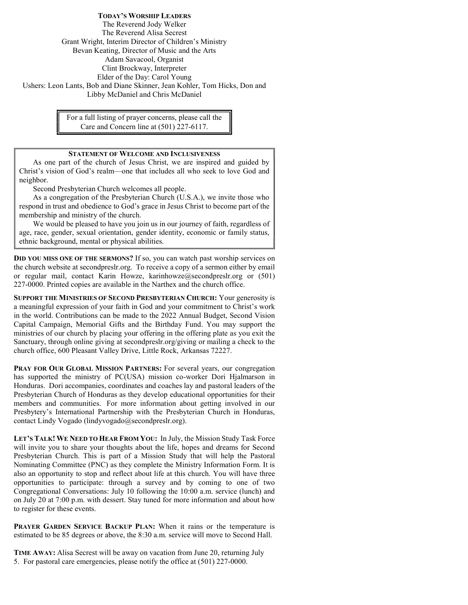TODAY'S WORSHIP LEADERS The Reverend Jody Welker The Reverend Alisa Secrest Grant Wright, Interim Director of Children's Ministry Bevan Keating, Director of Music and the Arts Adam Savacool, Organist Clint Brockway, Interpreter Elder of the Day: Carol Young Ushers: Leon Lants, Bob and Diane Skinner, Jean Kohler, Tom Hicks, Don and Libby McDaniel and Chris McDaniel

> For a full listing of prayer concerns, please call the Care and Concern line at (501) 227-6117.

# STATEMENT OF WELCOME AND INCLUSIVENESS

As one part of the church of Jesus Christ, we are inspired and guided by Christ's vision of God's realm—one that includes all who seek to love God and neighbor.

Second Presbyterian Church welcomes all people.

As a congregation of the Presbyterian Church (U.S.A.), we invite those who respond in trust and obedience to God's grace in Jesus Christ to become part of the membership and ministry of the church.

We would be pleased to have you join us in our journey of faith, regardless of age, race, gender, sexual orientation, gender identity, economic or family status, ethnic background, mental or physical abilities.

DID YOU MISS ONE OF THE SERMONS? If so, you can watch past worship services on the church website at secondpreslr.org. To receive a copy of a sermon either by email or regular mail, contact Karin Howze, karinhowze@secondpreslr.org or (501) 227-0000. Printed copies are available in the Narthex and the church office.

SUPPORT THE MINISTRIES OF SECOND PRESBYTERIAN CHURCH: Your generosity is a meaningful expression of your faith in God and your commitment to Christ's work in the world. Contributions can be made to the 2022 Annual Budget, Second Vision Capital Campaign, Memorial Gifts and the Birthday Fund. You may support the ministries of our church by placing your offering in the offering plate as you exit the Sanctuary, through online giving at secondpreslr.org/giving or mailing a check to the church office, 600 Pleasant Valley Drive, Little Rock, Arkansas 72227.

PRAY FOR OUR GLOBAL MISSION PARTNERS: For several years, our congregation has supported the ministry of PC(USA) mission co-worker Dori Hjalmarson in Honduras. Dori accompanies, coordinates and coaches lay and pastoral leaders of the Presbyterian Church of Honduras as they develop educational opportunities for their members and communities. For more information about getting involved in our Presbytery's International Partnership with the Presbyterian Church in Honduras, contact Lindy Vogado (lindyvogado@secondpreslr.org).

LET'S TALK! WE NEED TO HEAR FROM YOU: In July, the Mission Study Task Force will invite you to share your thoughts about the life, hopes and dreams for Second Presbyterian Church. This is part of a Mission Study that will help the Pastoral Nominating Committee (PNC) as they complete the Ministry Information Form. It is also an opportunity to stop and reflect about life at this church. You will have three opportunities to participate: through a survey and by coming to one of two Congregational Conversations: July 10 following the 10:00 a.m. service (lunch) and on July 20 at 7:00 p.m. with dessert. Stay tuned for more information and about how to register for these events.

PRAYER GARDEN SERVICE BACKUP PLAN: When it rains or the temperature is estimated to be 85 degrees or above, the 8:30 a.m. service will move to Second Hall.

TIME AWAY: Alisa Secrest will be away on vacation from June 20, returning July 5. For pastoral care emergencies, please notify the office at (501) 227-0000.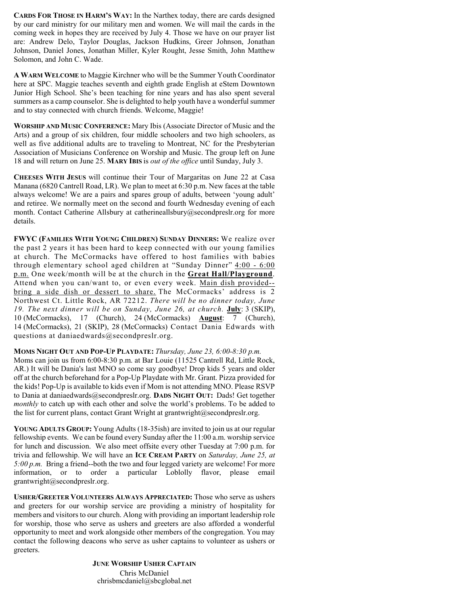CARDS FOR THOSE IN HARM'S WAY: In the Narthex today, there are cards designed by our card ministry for our military men and women. We will mail the cards in the coming week in hopes they are received by July 4. Those we have on our prayer list are: Andrew Delo, Taylor Douglas, Jackson Hudkins, Greer Johnson, Jonathan Johnson, Daniel Jones, Jonathan Miller, Kyler Rought, Jesse Smith, John Matthew Solomon, and John C. Wade.

A WARM WELCOME to Maggie Kirchner who will be the Summer Youth Coordinator here at SPC. Maggie teaches seventh and eighth grade English at eStem Downtown Junior High School. She's been teaching for nine years and has also spent several summers as a camp counselor. She is delighted to help youth have a wonderful summer and to stay connected with church friends. Welcome, Maggie!

WORSHIP AND MUSIC CONFERENCE: Mary Ibis (Associate Director of Music and the Arts) and a group of six children, four middle schoolers and two high schoolers, as well as five additional adults are to traveling to Montreat, NC for the Presbyterian Association of Musicians Conference on Worship and Music. The group left on June 18 and will return on June 25. MARY IBIS is out of the office until Sunday, July 3.

CHEESES WITH JESUS will continue their Tour of Margaritas on June 22 at Casa Manana (6820 Cantrell Road, LR). We plan to meet at 6:30 p.m. New faces at the table always welcome! We are a pairs and spares group of adults, between 'young adult' and retiree. We normally meet on the second and fourth Wednesday evening of each month. Contact Catherine Allsbury at catherineallsbury@secondpreslr.org for more details.

FWYC (FAMILIES WITH YOUNG CHILDREN) SUNDAY DINNERS: We realize over the past 2 years it has been hard to keep connected with our young families at church. The McCormacks have offered to host families with babies through elementary school aged children at "Sunday Dinner"  $4:00 - 6:00$ p.m. One week/month will be at the church in the Great Hall/Playground. Attend when you can/want to, or even every week. Main dish provided- bring a side dish or dessert to share. The McCormacks' address is 2 Northwest Ct. Little Rock, AR 72212. There will be no dinner today, June 19. The next dinner will be on Sunday, June 26, at church. July: 3 (SKIP), 10 (McCormacks), 17 (Church), 24 (McCormacks) August: 7 (Church), 14 (McCormacks), 21 (SKIP), 28 (McCormacks) Contact Dania Edwards with questions at daniaedwards@secondpreslr.org.

MOMS NIGHT OUT AND POP-UP PLAYDATE: Thursday, June 23, 6:00-8:30 p.m. Moms can join us from 6:00-8:30 p.m. at Bar Louie (11525 Cantrell Rd, Little Rock, AR.) It will be Dania's last MNO so come say goodbye! Drop kids 5 years and older off at the church beforehand for a Pop-Up Playdate with Mr. Grant. Pizza provided for the kids! Pop-Up is available to kids even if Mom is not attending MNO. Please RSVP to Dania at daniaedwards@secondpreslr.org. DADS NIGHT OUT: Dads! Get together monthly to catch up with each other and solve the world's problems. To be added to the list for current plans, contact Grant Wright at grantwright@secondpreslr.org.

YOUNG ADULTS GROUP: Young Adults (18-35ish) are invited to join us at our regular fellowship events. We can be found every Sunday after the 11:00 a.m. worship service for lunch and discussion. We also meet offsite every other Tuesday at 7:00 p.m. for trivia and fellowship. We will have an ICE CREAM PARTY on Saturday, June 25, at 5:00 p.m. Bring a friend--both the two and four legged variety are welcome! For more information, or to order a particular Loblolly flavor, please email grantwright@secondpreslr.org.

USHER/GREETER VOLUNTEERS ALWAYS APPRECIATED: Those who serve as ushers and greeters for our worship service are providing a ministry of hospitality for members and visitors to our church. Along with providing an important leadership role for worship, those who serve as ushers and greeters are also afforded a wonderful opportunity to meet and work alongside other members of the congregation. You may contact the following deacons who serve as usher captains to volunteer as ushers or greeters.

> JUNE WORSHIP USHER CAPTAIN Chris McDaniel chrisbmcdaniel@sbcglobal.net